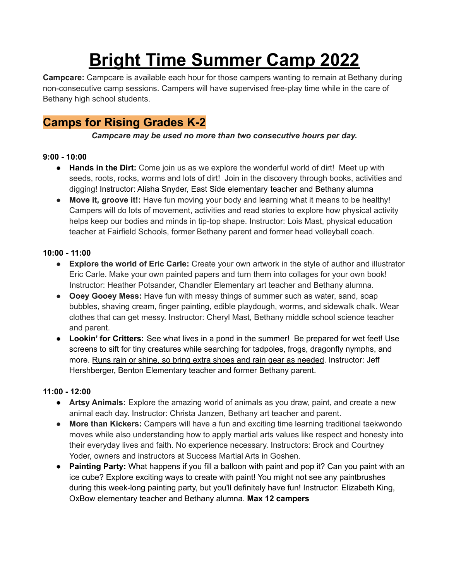# **Bright Time Summer Camp 2022**

**Campcare:** Campcare is available each hour for those campers wanting to remain at Bethany during non-consecutive camp sessions. Campers will have supervised free-play time while in the care of Bethany high school students.

# **Camps for Rising Grades K-2**

## *Campcare may be used no more than two consecutive hours per day.*

## **9:00 - 10:00**

- **Hands in the Dirt:** Come join us as we explore the wonderful world of dirt! Meet up with seeds, roots, rocks, worms and lots of dirt! Join in the discovery through books, activities and digging! Instructor: Alisha Snyder, East Side elementary teacher and Bethany alumna
- **● Move it, groove it!:** Have fun moving your body and learning what it means to be healthy! Campers will do lots of movement, activities and read stories to explore how physical activity helps keep our bodies and minds in tip-top shape. Instructor: Lois Mast, physical education teacher at Fairfield Schools, former Bethany parent and former head volleyball coach.

## **10:00 - 11:00**

- **Explore the world of Eric Carle:** Create your own artwork in the style of author and illustrator Eric Carle. Make your own painted papers and turn them into collages for your own book! Instructor: Heather Potsander, Chandler Elementary art teacher and Bethany alumna.
- **Ooey Gooey Mess:** Have fun with messy things of summer such as water, sand, soap bubbles, shaving cream, finger painting, edible playdough, worms, and sidewalk chalk. Wear clothes that can get messy. Instructor: Cheryl Mast, Bethany middle school science teacher and parent.
- **Lookin' for Critters:** See what lives in a pond in the summer! Be prepared for wet feet! Use screens to sift for tiny creatures while searching for tadpoles, frogs, dragonfly nymphs, and more. Runs rain or shine, so bring extra shoes and rain gear as needed. Instructor: Jeff Hershberger, Benton Elementary teacher and former Bethany parent.

## **11:00 - 12:00**

- **Artsy Animals:** Explore the amazing world of animals as you draw, paint, and create a new animal each day. Instructor: Christa Janzen, Bethany art teacher and parent.
- **More than Kickers:** Campers will have a fun and exciting time learning traditional taekwondo moves while also understanding how to apply martial arts values like respect and honesty into their everyday lives and faith. No experience necessary. Instructors: Brock and Courtney Yoder, owners and instructors at Success Martial Arts in Goshen.
- **Painting Party:** What happens if you fill a balloon with paint and pop it? Can you paint with an ice cube? Explore exciting ways to create with paint! You might not see any paintbrushes during this week-long painting party, but you'll definitely have fun! Instructor: Elizabeth King, OxBow elementary teacher and Bethany alumna. **Max 12 campers**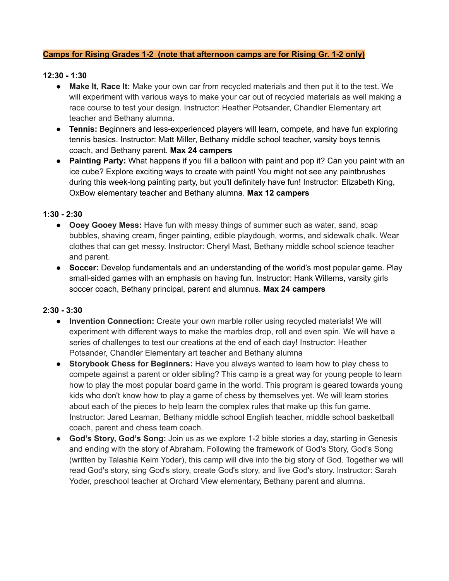#### **Camps for Rising Grades 1-2 (note that afternoon camps are for Rising Gr. 1-2 only)**

#### **12:30 - 1:30**

- **Make It, Race It:** Make your own car from recycled materials and then put it to the test. We will experiment with various ways to make your car out of recycled materials as well making a race course to test your design. Instructor: Heather Potsander, Chandler Elementary art teacher and Bethany alumna.
- **Tennis:** Beginners and less-experienced players will learn, compete, and have fun exploring tennis basics. Instructor: Matt Miller, Bethany middle school teacher, varsity boys tennis coach, and Bethany parent. **Max 24 campers**
- **● Painting Party:** What happens if you fill a balloon with paint and pop it? Can you paint with an ice cube? Explore exciting ways to create with paint! You might not see any paintbrushes during this week-long painting party, but you'll definitely have fun! Instructor: Elizabeth King, OxBow elementary teacher and Bethany alumna. **Max 12 campers**

#### **1:30 - 2:30**

- **Ooey Gooey Mess:** Have fun with messy things of summer such as water, sand, soap bubbles, shaving cream, finger painting, edible playdough, worms, and sidewalk chalk. Wear clothes that can get messy. Instructor: Cheryl Mast, Bethany middle school science teacher and parent.
- **Soccer:** Develop fundamentals and an understanding of the world's most popular game. Play small-sided games with an emphasis on having fun. Instructor: Hank Willems, varsity girls soccer coach, Bethany principal, parent and alumnus. **Max 24 campers**

#### **2:30 - 3:30**

- **Invention Connection:** Create your own marble roller using recycled materials! We will experiment with different ways to make the marbles drop, roll and even spin. We will have a series of challenges to test our creations at the end of each day! Instructor: Heather Potsander, Chandler Elementary art teacher and Bethany alumna
- **Storybook Chess for Beginners:** Have you always wanted to learn how to play chess to compete against a parent or older sibling? This camp is a great way for young people to learn how to play the most popular board game in the world. This program is geared towards young kids who don't know how to play a game of chess by themselves yet. We will learn stories about each of the pieces to help learn the complex rules that make up this fun game. Instructor: Jared Leaman, Bethany middle school English teacher, middle school basketball coach, parent and chess team coach.
- **● God's Story, God's Song:** Join us as we explore 1-2 bible stories a day, starting in Genesis and ending with the story of Abraham. Following the framework of God's Story, God's Song (written by Talashia Keim Yoder), this camp will dive into the big story of God. Together we will read God's story, sing God's story, create God's story, and live God's story. Instructor: Sarah Yoder, preschool teacher at Orchard View elementary, Bethany parent and alumna.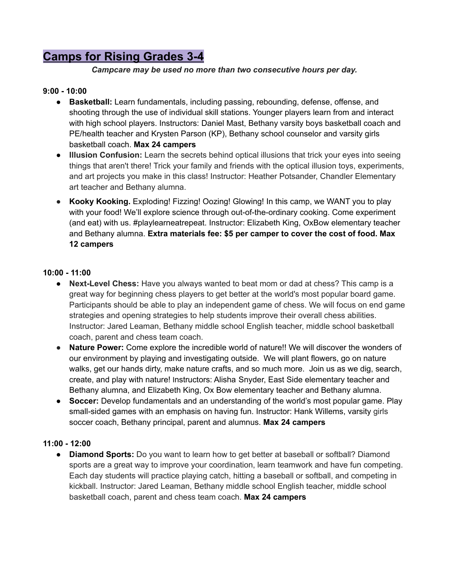# **Camps for Rising Grades 3-4**

*Campcare may be used no more than two consecutive hours per day.*

#### **9:00 - 10:00**

- **Basketball:** Learn fundamentals, including passing, rebounding, defense, offense, and shooting through the use of individual skill stations. Younger players learn from and interact with high school players. Instructors: Daniel Mast, Bethany varsity boys basketball coach and PE/health teacher and Krysten Parson (KP), Bethany school counselor and varsity girls basketball coach. **Max 24 campers**
- **● Illusion Confusion:** Learn the secrets behind optical illusions that trick your eyes into seeing things that aren't there! Trick your family and friends with the optical illusion toys, experiments, and art projects you make in this class! Instructor: Heather Potsander, Chandler Elementary art teacher and Bethany alumna.
- **Kooky Kooking.** Exploding! Fizzing! Oozing! Glowing! In this camp, we WANT you to play with your food! We'll explore science through out-of-the-ordinary cooking. Come experiment (and eat) with us. #playlearneatrepeat. Instructor: Elizabeth King, OxBow elementary teacher and Bethany alumna. **Extra materials fee: \$5 per camper to cover the cost of food. Max 12 campers**

#### **10:00 - 11:00**

- **Next-Level Chess:** Have you always wanted to beat mom or dad at chess? This camp is a great way for beginning chess players to get better at the world's most popular board game. Participants should be able to play an independent game of chess. We will focus on end game strategies and opening strategies to help students improve their overall chess abilities. Instructor: Jared Leaman, Bethany middle school English teacher, middle school basketball coach, parent and chess team coach.
- **Nature Power:** Come explore the incredible world of nature!! We will discover the wonders of our environment by playing and investigating outside. We will plant flowers, go on nature walks, get our hands dirty, make nature crafts, and so much more. Join us as we dig, search, create, and play with nature! Instructors: Alisha Snyder, East Side elementary teacher and Bethany alumna, and Elizabeth King, Ox Bow elementary teacher and Bethany alumna.
- **Soccer:** Develop fundamentals and an understanding of the world's most popular game. Play small-sided games with an emphasis on having fun. Instructor: Hank Willems, varsity girls soccer coach, Bethany principal, parent and alumnus. **Max 24 campers**

#### **11:00 - 12:00**

● **Diamond Sports:** Do you want to learn how to get better at baseball or softball? Diamond sports are a great way to improve your coordination, learn teamwork and have fun competing. Each day students will practice playing catch, hitting a baseball or softball, and competing in kickball. Instructor: Jared Leaman, Bethany middle school English teacher, middle school basketball coach, parent and chess team coach. **Max 24 campers**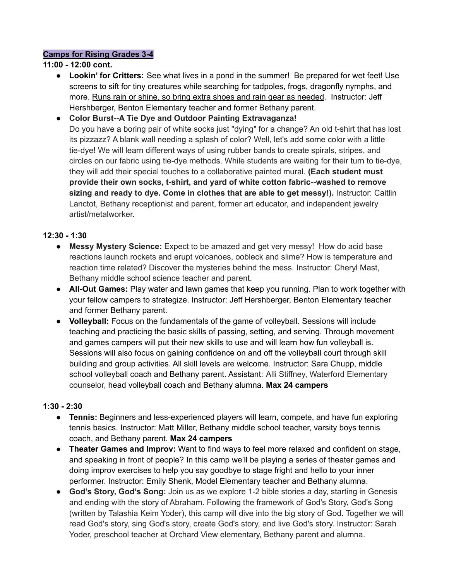#### **Camps for Rising Grades 3-4**

#### **11:00 - 12:00 cont.**

- **Lookin' for Critters:** See what lives in a pond in the summer! Be prepared for wet feet! Use screens to sift for tiny creatures while searching for tadpoles, frogs, dragonfly nymphs, and more. Runs rain or shine, so bring extra shoes and rain gear as needed. Instructor: Jeff Hershberger, Benton Elementary teacher and former Bethany parent.
- **Color Burst--A Tie Dye and Outdoor Painting Extravaganza!** Do you have a boring pair of white socks just "dying" for a change? An old t-shirt that has lost its pizzazz? A blank wall needing a splash of color? Well, let's add some color with a little tie-dye! We will learn different ways of using rubber bands to create spirals, stripes, and circles on our fabric using tie-dye methods. While students are waiting for their turn to tie-dye, they will add their special touches to a collaborative painted mural. **(Each student must provide their own socks, t-shirt, and yard of white cotton fabric--washed to remove sizing and ready to dye. Come in clothes that are able to get messy!).** Instructor: Caitlin Lanctot, Bethany receptionist and parent, former art educator, and independent jewelry artist/metalworker.

#### **12:30 - 1:30**

- **Messy Mystery Science:** Expect to be amazed and get very messy! How do acid base reactions launch rockets and erupt volcanoes, oobleck and slime? How is temperature and reaction time related? Discover the mysteries behind the mess. Instructor: Cheryl Mast, Bethany middle school science teacher and parent.
- **All-Out Games:** Play water and lawn games that keep you running. Plan to work together with your fellow campers to strategize. Instructor: Jeff Hershberger, Benton Elementary teacher and former Bethany parent.
- **Volleyball:** Focus on the fundamentals of the game of volleyball. Sessions will include teaching and practicing the basic skills of passing, setting, and serving. Through movement and games campers will put their new skills to use and will learn how fun volleyball is. Sessions will also focus on gaining confidence on and off the volleyball court through skill building and group activities. All skill levels are welcome. Instructor: Sara Chupp, middle school volleyball coach and Bethany parent. Assistant: Alli Stiffney, Waterford Elementary counselor, head volleyball coach and Bethany alumna. **Max 24 campers**

#### **1:30 - 2:30**

- **Tennis:** Beginners and less-experienced players will learn, compete, and have fun exploring tennis basics. Instructor: Matt Miller, Bethany middle school teacher, varsity boys tennis coach, and Bethany parent. **Max 24 campers**
- **Theater Games and Improv:** Want to find ways to feel more relaxed and confident on stage, and speaking in front of people? In this camp we'll be playing a series of theater games and doing improv exercises to help you say goodbye to stage fright and hello to your inner performer. Instructor: Emily Shenk, Model Elementary teacher and Bethany alumna.
- **God's Story, God's Song:** Join us as we explore 1-2 bible stories a day, starting in Genesis and ending with the story of Abraham. Following the framework of God's Story, God's Song (written by Talashia Keim Yoder), this camp will dive into the big story of God. Together we will read God's story, sing God's story, create God's story, and live God's story. Instructor: Sarah Yoder, preschool teacher at Orchard View elementary, Bethany parent and alumna.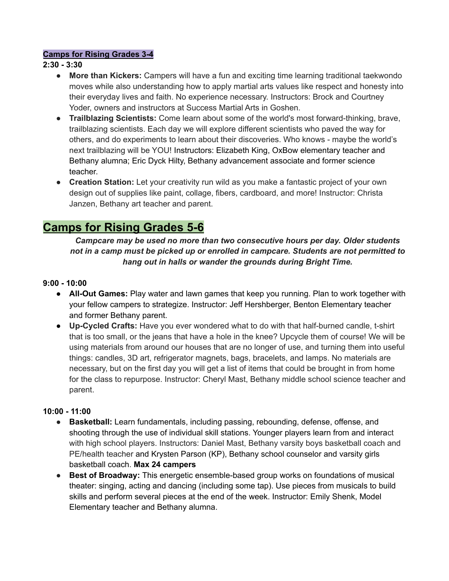#### **Camps for Rising Grades 3-4**

#### **2:30 - 3:30**

- **More than Kickers:** Campers will have a fun and exciting time learning traditional taekwondo moves while also understanding how to apply martial arts values like respect and honesty into their everyday lives and faith. No experience necessary. Instructors: Brock and Courtney Yoder, owners and instructors at Success Martial Arts in Goshen.
- **● Trailblazing Scientists:** Come learn about some of the world's most forward-thinking, brave, trailblazing scientists. Each day we will explore different scientists who paved the way for others, and do experiments to learn about their discoveries. Who knows - maybe the world's next trailblazing will be YOU! Instructors: Elizabeth King, OxBow elementary teacher and Bethany alumna; Eric Dyck Hilty, Bethany advancement associate and former science teacher.
- **Creation Station:** Let your creativity run wild as you make a fantastic project of your own design out of supplies like paint, collage, fibers, cardboard, and more! Instructor: Christa Janzen, Bethany art teacher and parent.

## **Camps for Rising Grades 5-6**

*Campcare may be used no more than two consecutive hours per day. Older students not in a camp must be picked up or enrolled in campcare. Students are not permitted to hang out in halls or wander the grounds during Bright Time.*

#### **9:00 - 10:00**

- **All-Out Games:** Play water and lawn games that keep you running. Plan to work together with your fellow campers to strategize. Instructor: Jeff Hershberger, Benton Elementary teacher and former Bethany parent.
- **Up-Cycled Crafts:** Have you ever wondered what to do with that half-burned candle, t-shirt that is too small, or the jeans that have a hole in the knee? Upcycle them of course! We will be using materials from around our houses that are no longer of use, and turning them into useful things: candles, 3D art, refrigerator magnets, bags, bracelets, and lamps. No materials are necessary, but on the first day you will get a list of items that could be brought in from home for the class to repurpose. Instructor: Cheryl Mast, Bethany middle school science teacher and parent.

#### **10:00 - 11:00**

- **Basketball:** Learn fundamentals, including passing, rebounding, defense, offense, and shooting through the use of individual skill stations. Younger players learn from and interact with high school players. Instructors: Daniel Mast, Bethany varsity boys basketball coach and PE/health teacher and Krysten Parson (KP), Bethany school counselor and varsity girls basketball coach. **Max 24 campers**
- **Best of Broadway:** This energetic ensemble-based group works on foundations of musical theater: singing, acting and dancing (including some tap). Use pieces from musicals to build skills and perform several pieces at the end of the week. Instructor: Emily Shenk, Model Elementary teacher and Bethany alumna.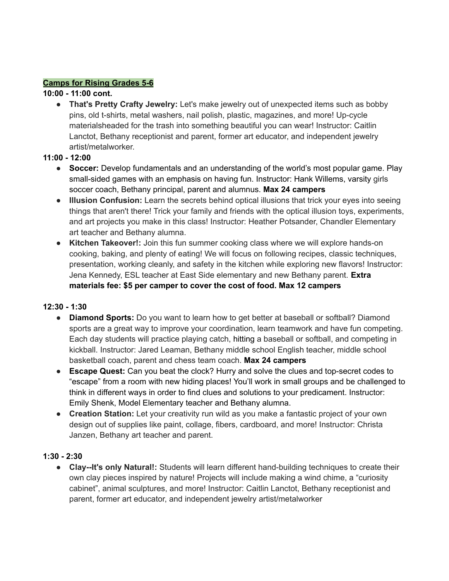#### **Camps for Rising Grades 5-6**

#### **10:00 - 11:00 cont.**

● **That's Pretty Crafty Jewelry:** Let's make jewelry out of unexpected items such as bobby pins, old t-shirts, metal washers, nail polish, plastic, magazines, and more! Up-cycle materialsheaded for the trash into something beautiful you can wear! Instructor: Caitlin Lanctot, Bethany receptionist and parent, former art educator, and independent jewelry artist/metalworker.

#### **11:00 - 12:00**

- **Soccer:** Develop fundamentals and an understanding of the world's most popular game. Play small-sided games with an emphasis on having fun. Instructor: Hank Willems, varsity girls soccer coach, Bethany principal, parent and alumnus. **Max 24 campers**
- **Illusion Confusion:** Learn the secrets behind optical illusions that trick your eyes into seeing things that aren't there! Trick your family and friends with the optical illusion toys, experiments, and art projects you make in this class! Instructor: Heather Potsander, Chandler Elementary art teacher and Bethany alumna.
- **Kitchen Takeover!:** Join this fun summer cooking class where we will explore hands-on cooking, baking, and plenty of eating! We will focus on following recipes, classic techniques, presentation, working cleanly, and safety in the kitchen while exploring new flavors! Instructor: Jena Kennedy, ESL teacher at East Side elementary and new Bethany parent. **Extra materials fee: \$5 per camper to cover the cost of food. Max 12 campers**

#### **12:30 - 1:30**

- **Diamond Sports:** Do you want to learn how to get better at baseball or softball? Diamond sports are a great way to improve your coordination, learn teamwork and have fun competing. Each day students will practice playing catch, hitting a baseball or softball, and competing in kickball. Instructor: Jared Leaman, Bethany middle school English teacher, middle school basketball coach, parent and chess team coach. **Max 24 campers**
- **Escape Quest:** Can you beat the clock? Hurry and solve the clues and top-secret codes to "escape" from a room with new hiding places! You'll work in small groups and be challenged to think in different ways in order to find clues and solutions to your predicament. Instructor: Emily Shenk, Model Elementary teacher and Bethany alumna.
- **Creation Station:** Let your creativity run wild as you make a fantastic project of your own design out of supplies like paint, collage, fibers, cardboard, and more! Instructor: Christa Janzen, Bethany art teacher and parent.

#### **1:30 - 2:30**

● **Clay--It's only Natural!:** Students will learn different hand-building techniques to create their own clay pieces inspired by nature! Projects will include making a wind chime, a "curiosity cabinet", animal sculptures, and more! Instructor: Caitlin Lanctot, Bethany receptionist and parent, former art educator, and independent jewelry artist/metalworker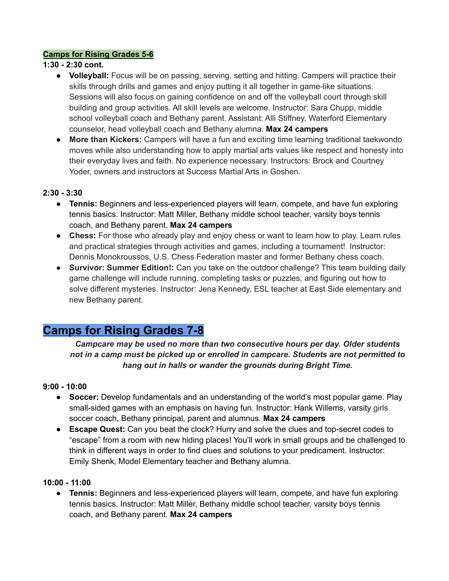#### **Camps for Rising Grades 5-6**

#### **1:30 - 2:30 cont.**

- **● Volleyball:** Focus will be on passing, serving, setting and hitting. Campers will practice their skills through drills and games and enjoy putting it all together in game-like situations. Sessions will also focus on gaining confidence on and off the volleyball court through skill building and group activities. All skill levels are welcome. Instructor: Sara Chupp, middle school volleyball coach and Bethany parent. Assistant: Alli Stiffney, Waterford Elementary counselor, head volleyball coach and Bethany alumna. **Max 24 campers**
- **● More than Kickers:** Campers will have a fun and exciting time learning traditional taekwondo moves while also understanding how to apply martial arts values like respect and honesty into their everyday lives and faith. No experience necessary. Instructors: Brock and Courtney Yoder, owners and instructors at Success Martial Arts in Goshen.

#### **2:30 - 3:30**

- **● Tennis:** Beginners and less-experienced players will learn, compete, and have fun exploring tennis basics. Instructor: Matt Miller, Bethany middle school teacher, varsity boys tennis coach, and Bethany parent. **Max 24 campers**
- **Chess:** For those who already play and enjoy chess or want to learn how to play. Learn rules and practical strategies through activities and games, including a tournament! Instructor: Dennis Monokroussos, U.S. Chess Federation master and former Bethany chess coach.
- **Survivor: Summer Edition!:** Can you take on the outdoor challenge? This team building daily game challenge will include running, completing tasks or puzzles, and figuring out how to solve different mysteries. Instructor: Jena Kennedy, ESL teacher at East Side elementary and new Bethany parent.

# **Camps for Rising Grades 7-8**

*Campcare may be used no more than two consecutive hours per day. Older students not in a camp must be picked up or enrolled in campcare. Students are not permitted to hang out in halls or wander the grounds during Bright Time.*

#### **9:00 - 10:00**

- **● Soccer:** Develop fundamentals and an understanding of the world's most popular game. Play small-sided games with an emphasis on having fun. Instructor: Hank Willems, varsity girls soccer coach, Bethany principal, parent and alumnus. **Max 24 campers**
- **● Escape Quest:** Can you beat the clock? Hurry and solve the clues and top-secret codes to "escape" from a room with new hiding places! You'll work in small groups and be challenged to think in different ways in order to find clues and solutions to your predicament. Instructor: Emily Shenk, Model Elementary teacher and Bethany alumna.

#### **10:00 - 11:00**

**● Tennis:** Beginners and less-experienced players will learn, compete, and have fun exploring tennis basics. Instructor: Matt Miller, Bethany middle school teacher, varsity boys tennis coach, and Bethany parent. **Max 24 campers**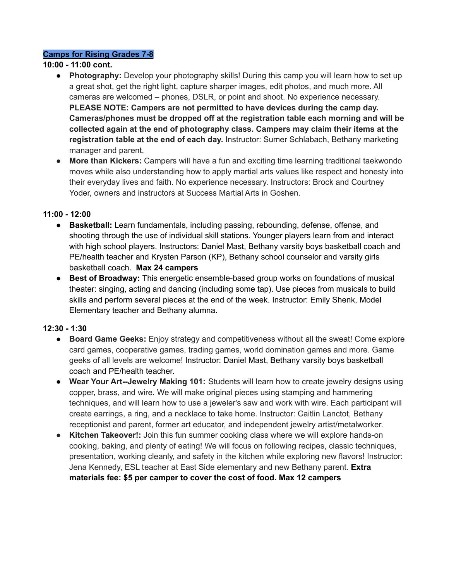#### **Camps for Rising Grades 7-8**

#### **10:00 - 11:00 cont.**

- **Photography:** Develop your photography skills! During this camp you will learn how to set up a great shot, get the right light, capture sharper images, edit photos, and much more. All cameras are welcomed – phones, DSLR, or point and shoot. No experience necessary. **PLEASE NOTE: Campers are not permitted to have devices during the camp day. Cameras/phones must be dropped off at the registration table each morning and will be collected again at the end of photography class. Campers may claim their items at the registration table at the end of each day.** Instructor: Sumer Schlabach, Bethany marketing manager and parent.
- **More than Kickers:** Campers will have a fun and exciting time learning traditional taekwondo moves while also understanding how to apply martial arts values like respect and honesty into their everyday lives and faith. No experience necessary. Instructors: Brock and Courtney Yoder, owners and instructors at Success Martial Arts in Goshen.

#### **11:00 - 12:00**

- **● Basketball:** Learn fundamentals, including passing, rebounding, defense, offense, and shooting through the use of individual skill stations. Younger players learn from and interact with high school players. Instructors: Daniel Mast, Bethany varsity boys basketball coach and PE/health teacher and Krysten Parson (KP), Bethany school counselor and varsity girls basketball coach. **Max 24 campers**
- **● Best of Broadway:** This energetic ensemble-based group works on foundations of musical theater: singing, acting and dancing (including some tap). Use pieces from musicals to build skills and perform several pieces at the end of the week. Instructor: Emily Shenk, Model Elementary teacher and Bethany alumna.

#### **12:30 - 1:30**

- **● Board Game Geeks:** Enjoy strategy and competitiveness without all the sweat! Come explore card games, cooperative games, trading games, world domination games and more. Game geeks of all levels are welcome! Instructor: Daniel Mast, Bethany varsity boys basketball coach and PE/health teacher.
- **Wear Your Art--Jewelry Making 101:** Students will learn how to create jewelry designs using copper, brass, and wire. We will make original pieces using stamping and hammering techniques, and will learn how to use a jeweler's saw and work with wire. Each participant will create earrings, a ring, and a necklace to take home. Instructor: Caitlin Lanctot, Bethany receptionist and parent, former art educator, and independent jewelry artist/metalworker.
- **Kitchen Takeover!:** Join this fun summer cooking class where we will explore hands-on cooking, baking, and plenty of eating! We will focus on following recipes, classic techniques, presentation, working cleanly, and safety in the kitchen while exploring new flavors! Instructor: Jena Kennedy, ESL teacher at East Side elementary and new Bethany parent. **Extra materials fee: \$5 per camper to cover the cost of food. Max 12 campers**